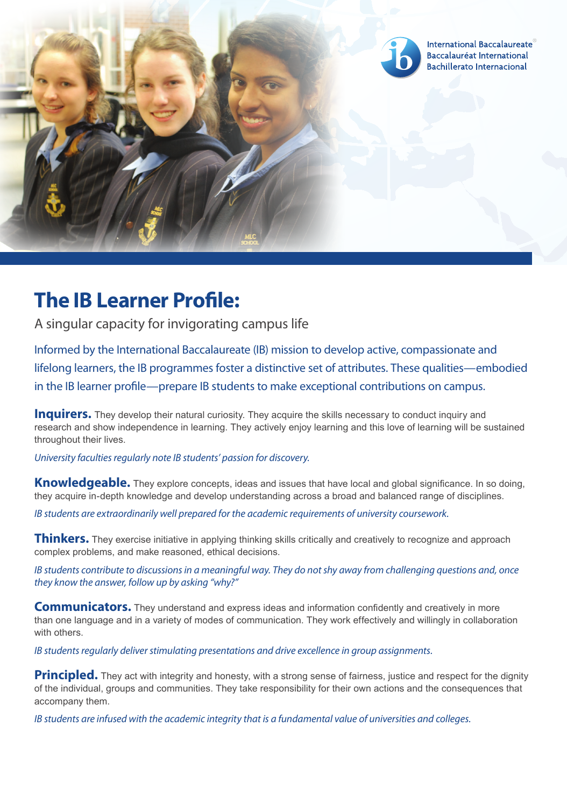

## **The IB Learner Profle:**

A singular capacity for invigorating campus life

Informed by the International Baccalaureate (IB) mission to develop active, compassionate and lifelong learners, the IB programmes foster a distinctive set of attributes. These qualities—embodied in the IB learner profle—prepare IB students to make exceptional contributions on campus.

**Inquirers.** They develop their natural curiosity. They acquire the skills necessary to conduct inquiry and research and show independence in learning. They actively enjoy learning and this love of learning will be sustained throughout their lives.

*University faculties regularly note IB students' passion for discovery.* 

**Knowledgeable.** They explore concepts, ideas and issues that have local and global significance. In so doing, they acquire in-depth knowledge and develop understanding across a broad and balanced range of disciplines.

*IB students are extraordinarily well prepared for the academic requirements of university coursework.* 

**Thinkers.** They exercise initiative in applying thinking skills critically and creatively to recognize and approach complex problems, and make reasoned, ethical decisions.

*IB students contribute to discussions in a meaningful way. They do not shy away from challenging questions and, once they know the answer, follow up by asking "why?"* 

 **Communicators.** They understand and express ideas and information confidently and creatively in more than one language and in a variety of modes of communication. They work effectively and willingly in collaboration with others.

*IB students regularly deliver stimulating presentations and drive excellence in group assignments.* 

**Principled.** They act with integrity and honesty, with a strong sense of fairness, justice and respect for the dignity of the individual, groups and communities. They take responsibility for their own actions and the consequences that accompany them.

*IB students are infused with the academic integrity that is a fundamental value of universities and colleges.*